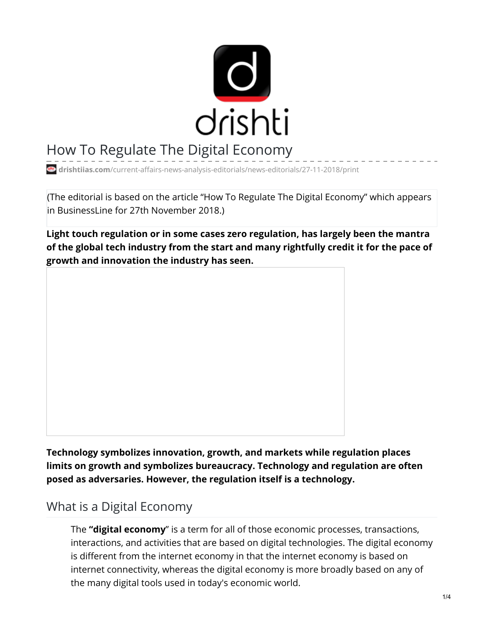

# How To Regulate The Digital Economy

**drishtiias.com**[/current-affairs-news-analysis-editorials/news-editorials/27-11-2018/print](https://www.drishtiias.com/current-affairs-news-analysis-editorials/news-editorials/27-11-2018/print)

(The editorial is based on the article "How To Regulate The Digital Economy" which appears in BusinessLine for 27th November 2018.)

**Light touch regulation or in some cases zero regulation, has largely been the mantra of the global tech industry from the start and many rightfully credit it for the pace of growth and innovation the industry has seen.**

**Technology symbolizes innovation, growth, and markets while regulation places limits on growth and symbolizes bureaucracy. Technology and regulation are often posed as adversaries. However, the regulation itself is a technology.**

### What is a Digital Economy

The **"digital economy**" is a term for all of those economic processes, transactions, interactions, and activities that are based on digital technologies. The digital economy is different from the internet economy in that the internet economy is based on internet connectivity, whereas the digital economy is more broadly based on any of the many digital tools used in today's economic world.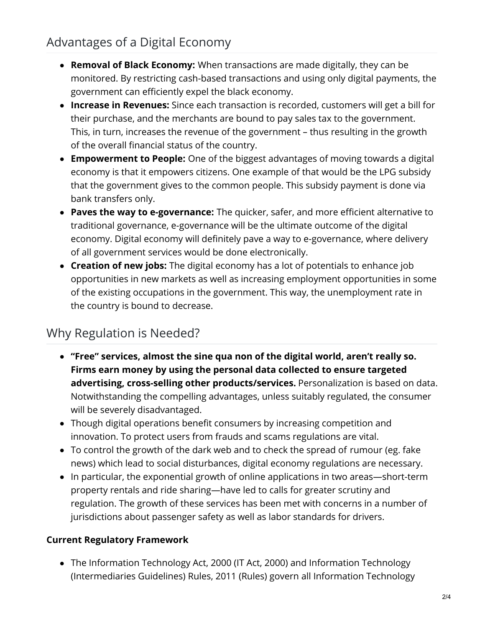## Advantages of a Digital Economy

- **Removal of Black Economy:** When transactions are made digitally, they can be monitored. By restricting cash-based transactions and using only digital payments, the government can efficiently expel the black economy.
- **Increase in Revenues:** Since each transaction is recorded, customers will get a bill for their purchase, and the merchants are bound to pay sales tax to the government. This, in turn, increases the revenue of the government – thus resulting in the growth of the overall financial status of the country.
- **Empowerment to People:** One of the biggest advantages of moving towards a digital economy is that it empowers citizens. One example of that would be the LPG subsidy that the government gives to the common people. This subsidy payment is done via bank transfers only.
- **Paves the way to e-governance:** The quicker, safer, and more efficient alternative to traditional governance, e-governance will be the ultimate outcome of the digital economy. Digital economy will definitely pave a way to e-governance, where delivery of all government services would be done electronically.
- **Creation of new jobs:** The digital economy has a lot of potentials to enhance job opportunities in new markets as well as increasing employment opportunities in some of the existing occupations in the government. This way, the unemployment rate in the country is bound to decrease.

## Why Regulation is Needed?

- **"Free" services, almost the sine qua non of the digital world, aren't really so. Firms earn money by using the personal data collected to ensure targeted advertising, cross-selling other products/services.** Personalization is based on data. Notwithstanding the compelling advantages, unless suitably regulated, the consumer will be severely disadvantaged.
- Though digital operations benefit consumers by increasing competition and innovation. To protect users from frauds and scams regulations are vital.
- To control the growth of the dark web and to check the spread of rumour (eg. fake news) which lead to social disturbances, digital economy regulations are necessary.
- In particular, the exponential growth of online applications in two areas—short-term property rentals and ride sharing—have led to calls for greater scrutiny and regulation. The growth of these services has been met with concerns in a number of jurisdictions about passenger safety as well as labor standards for drivers.

#### **Current Regulatory Framework**

The Information Technology Act, 2000 (IT Act, 2000) and Information Technology (Intermediaries Guidelines) Rules, 2011 (Rules) govern all Information Technology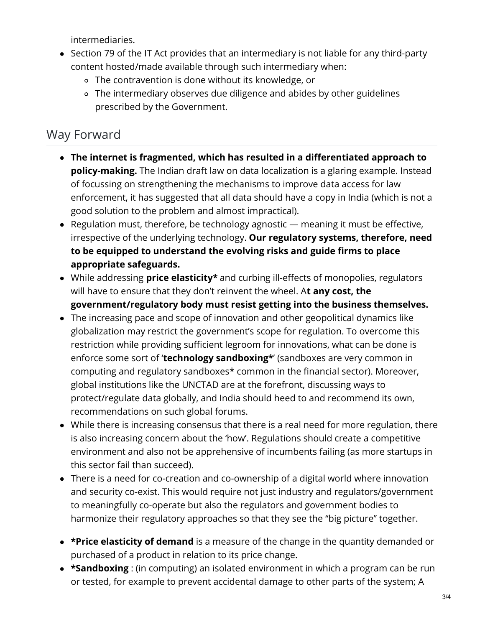intermediaries.

- Section 79 of the IT Act provides that an intermediary is not liable for any third-party content hosted/made available through such intermediary when:
	- The contravention is done without its knowledge, or
	- The intermediary observes due diligence and abides by other guidelines prescribed by the Government.

## Way Forward

- **The internet is fragmented, which has resulted in a differentiated approach to policy-making.** The Indian draft law on data localization is a glaring example. Instead of focussing on strengthening the mechanisms to improve data access for law enforcement, it has suggested that all data should have a copy in India (which is not a good solution to the problem and almost impractical).
- Regulation must, therefore, be technology agnostic meaning it must be effective, irrespective of the underlying technology. **Our regulatory systems, therefore, need to be equipped to understand the evolving risks and guide firms to place appropriate safeguards.**
- While addressing **price elasticity\*** and curbing ill-effects of monopolies, regulators will have to ensure that they don't reinvent the wheel. A**t any cost, the government/regulatory body must resist getting into the business themselves.**
- The increasing pace and scope of innovation and other geopolitical dynamics like globalization may restrict the government's scope for regulation. To overcome this restriction while providing sufficient legroom for innovations, what can be done is enforce some sort of '**technology sandboxing\***' (sandboxes are very common in computing and regulatory sandboxes\* common in the financial sector). Moreover, global institutions like the UNCTAD are at the forefront, discussing ways to protect/regulate data globally, and India should heed to and recommend its own, recommendations on such global forums.
- While there is increasing consensus that there is a real need for more regulation, there is also increasing concern about the 'how'. Regulations should create a competitive environment and also not be apprehensive of incumbents failing (as more startups in this sector fail than succeed).
- There is a need for co-creation and co-ownership of a digital world where innovation and security co-exist. This would require not just industry and regulators/government to meaningfully co-operate but also the regulators and government bodies to harmonize their regulatory approaches so that they see the "big picture" together.
- **\*Price elasticity of demand** is a measure of the change in the quantity demanded or purchased of a product in relation to its price change.
- **\*Sandboxing** : (in computing) an isolated environment in which a program can be run or tested, for example to prevent accidental damage to other parts of the system; A